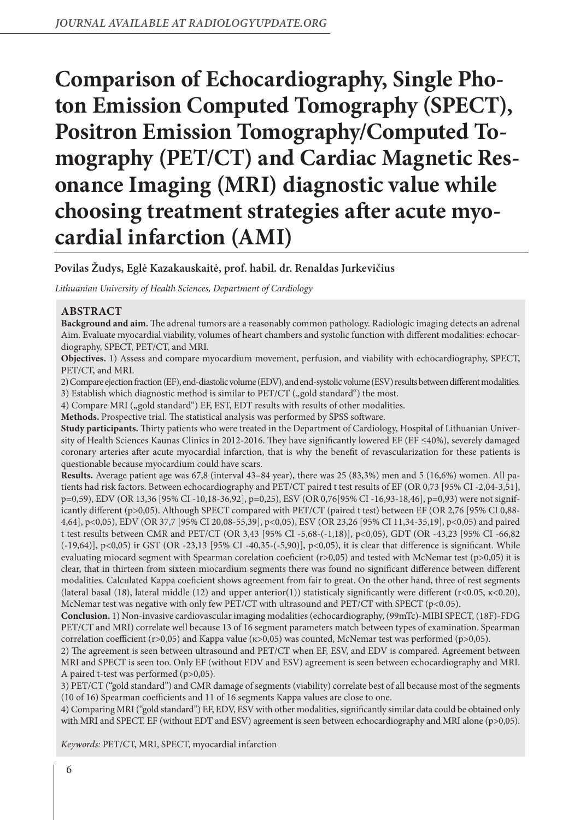# **Comparison of Echocardiography, Single Photon Emission Computed Tomography (SPECT), Positron Emission Tomography/Computed Tomography (PET/CT) and Cardiac Magnetic Resonance Imaging (MRI) diagnostic value while choosing treatment strategies after acute myocardial infarction (AMI)**

# **Povilas Žudys, Eglė Kazakauskaitė, prof. habil. dr. Renaldas Jurkevičius**

*Lithuanian University of Health Sciences, Department of Cardiology*

# **ABSTRACT**

**Background and aim.** The adrenal tumors are a reasonably common pathology. Radiologic imaging detects an adrenal Aim. Evaluate myocardial viability, volumes of heart chambers and systolic function with different modalities: echocardiography, SPECT, PET/CT, and MRI.

**Objectives.** 1) Assess and compare myocardium movement, perfusion, and viability with echocardiography, SPECT, PET/CT, and MRI.

2) Compare ejection fraction (EF), end-diastolic volume (EDV), and end-systolic volume (ESV) results between different modalities. 3) Establish which diagnostic method is similar to  $PET/CT$  ("gold standard") the most.

4) Compare MRI ("gold standard") EF, EST, EDT results with results of other modalities.

**Methods.** Prospective trial. The statistical analysis was performed by SPSS software.

**Study participants.** Thirty patients who were treated in the Department of Cardiology, Hospital of Lithuanian University of Health Sciences Kaunas Clinics in 2012-2016. They have significantly lowered EF (EF ≤40%), severely damaged coronary arteries after acute myocardial infarction, that is why the benefit of revascularization for these patients is questionable because myocardium could have scars.

**Results.** Average patient age was 67,8 (interval 43–84 year), there was 25 (83,3%) men and 5 (16,6%) women. All patients had risk factors. Between echocardiography and PET/CT paired t test results of EF (OR 0,73 [95% CI -2,04-3,51], p=0,59), EDV (OR 13,36 [95% CI -10,18-36,92], p=0,25), ESV (OR 0,76[95% CI -16,93-18,46], p=0,93) were not significantly different (p>0,05). Although SPECT compared with PET/CT (paired t test) between EF (OR 2,76 [95% CI 0,88- 4,64], p<0,05), EDV (OR 37,7 [95% CI 20,08-55,39], p<0,05), ESV (OR 23,26 [95% CI 11,34-35,19], p<0,05) and paired t test results between CMR and PET/CT (OR 3,43 [95% CI -5,68-(-1,18)], p<0,05), GDT (OR -43,23 [95% CI -66,82 (-19,64)], p<0,05) ir GST (OR -23,13 [95% CI -40,35-(-5,90)], p<0,05), it is clear that difference is significant. While evaluating miocard segment with Spearman corelation coeficient (r>0,05) and tested with McNemar test (p>0,05) it is clear, that in thirteen from sixteen miocardium segments there was found no significant difference between different modalities. Calculated Kappa coeficient shows agreement from fair to great. On the other hand, three of rest segments (lateral basal (18), lateral middle (12) and upper anterior(1)) statisticaly significantly were different (r<0.05, κ<0.20), McNemar test was negative with only few PET/CT with ultrasound and PET/CT with SPECT (p<0.05).

**Conclusion.** 1) Non-invasive cardiovascular imaging modalities (echocardiography, (99mTc)-MIBI SPECT, (18F)-FDG PET/CT and MRI) correlate well because 13 of 16 segment parameters match between types of examination. Spearman correlation coefficient (r>0,05) and Kappa value (κ>0,05) was counted, McNemar test was performed (p>0,05).

2) The agreement is seen between ultrasound and PET/CT when EF, ESV, and EDV is compared. Agreement between MRI and SPECT is seen too. Only EF (without EDV and ESV) agreement is seen between echocardiography and MRI. A paired t-test was performed (p>0,05).

3) PET/CT ("gold standard") and CMR damage of segments (viability) correlate best of all because most of the segments (10 of 16) Spearman coefficients and 11 of 16 segments Kappa values are close to one.

4) Comparing MRI ("gold standard") EF, EDV, ESV with other modalities, significantly similar data could be obtained only with MRI and SPECT. EF (without EDT and ESV) agreement is seen between echocardiography and MRI alone (p>0,05).

*Keywords:* PET/CT, MRI, SPECT, myocardial infarction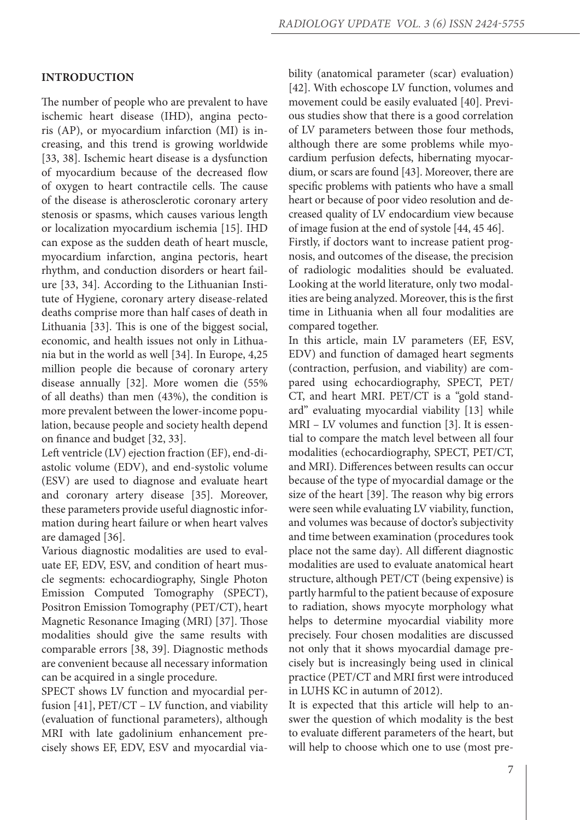#### **INTRODUCTION**

The number of people who are prevalent to have ischemic heart disease (IHD), angina pectoris (AP), or myocardium infarction (MI) is increasing, and this trend is growing worldwide [33, 38]. Ischemic heart disease is a dysfunction of myocardium because of the decreased flow of oxygen to heart contractile cells. The cause of the disease is atherosclerotic coronary artery stenosis or spasms, which causes various length or localization myocardium ischemia [15]. IHD can expose as the sudden death of heart muscle, myocardium infarction, angina pectoris, heart rhythm, and conduction disorders or heart failure [33, 34]. According to the Lithuanian Institute of Hygiene, coronary artery disease-related deaths comprise more than half cases of death in Lithuania [33]. This is one of the biggest social, economic, and health issues not only in Lithuania but in the world as well [34]. In Europe, 4,25 million people die because of coronary artery disease annually [32]. More women die (55% of all deaths) than men (43%), the condition is more prevalent between the lower-income population, because people and society health depend on finance and budget [32, 33].

Left ventricle (LV) ejection fraction (EF), end-diastolic volume (EDV), and end-systolic volume (ESV) are used to diagnose and evaluate heart and coronary artery disease [35]. Moreover, these parameters provide useful diagnostic information during heart failure or when heart valves are damaged [36].

Various diagnostic modalities are used to evaluate EF, EDV, ESV, and condition of heart muscle segments: echocardiography, Single Photon Emission Computed Tomography (SPECT), Positron Emission Tomography (PET/CT), heart Magnetic Resonance Imaging (MRI) [37]. Those modalities should give the same results with comparable errors [38, 39]. Diagnostic methods are convenient because all necessary information can be acquired in a single procedure.

SPECT shows LV function and myocardial perfusion [41], PET/CT – LV function, and viability (evaluation of functional parameters), although MRI with late gadolinium enhancement precisely shows EF, EDV, ESV and myocardial viability (anatomical parameter (scar) evaluation) [42]. With echoscope LV function, volumes and movement could be easily evaluated [40]. Previous studies show that there is a good correlation of LV parameters between those four methods, although there are some problems while myocardium perfusion defects, hibernating myocardium, or scars are found [43]. Moreover, there are specific problems with patients who have a small heart or because of poor video resolution and decreased quality of LV endocardium view because of image fusion at the end of systole [44, 45 46].

Firstly, if doctors want to increase patient prognosis, and outcomes of the disease, the precision of radiologic modalities should be evaluated. Looking at the world literature, only two modalities are being analyzed. Moreover, this is the first time in Lithuania when all four modalities are compared together.

In this article, main LV parameters (EF, ESV, EDV) and function of damaged heart segments (contraction, perfusion, and viability) are compared using echocardiography, SPECT, PET/ CT, and heart MRI. PET/CT is a "gold standard" evaluating myocardial viability [13] while MRI – LV volumes and function [3]. It is essential to compare the match level between all four modalities (echocardiography, SPECT, PET/CT, and MRI). Differences between results can occur because of the type of myocardial damage or the size of the heart [39]. The reason why big errors were seen while evaluating LV viability, function, and volumes was because of doctor's subjectivity and time between examination (procedures took place not the same day). All different diagnostic modalities are used to evaluate anatomical heart structure, although PET/CT (being expensive) is partly harmful to the patient because of exposure to radiation, shows myocyte morphology what helps to determine myocardial viability more precisely. Four chosen modalities are discussed not only that it shows myocardial damage precisely but is increasingly being used in clinical practice (PET/CT and MRI first were introduced in LUHS KC in autumn of 2012).

It is expected that this article will help to answer the question of which modality is the best to evaluate different parameters of the heart, but will help to choose which one to use (most pre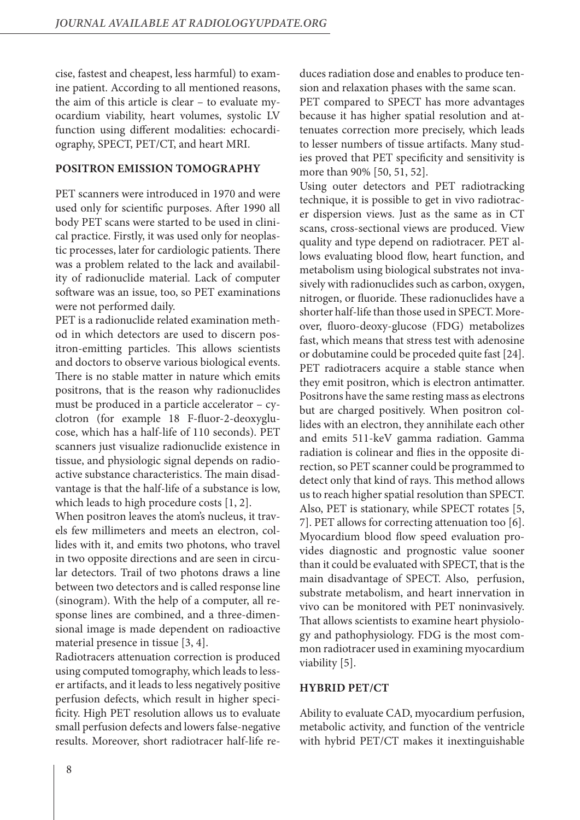cise, fastest and cheapest, less harmful) to examine patient. According to all mentioned reasons, the aim of this article is clear – to evaluate myocardium viability, heart volumes, systolic LV function using different modalities: echocardiography, SPECT, PET/CT, and heart MRI.

## **POSITRON EMISSION TOMOGRAPHY**

PET scanners were introduced in 1970 and were used only for scientific purposes. After 1990 all body PET scans were started to be used in clinical practice. Firstly, it was used only for neoplastic processes, later for cardiologic patients. There was a problem related to the lack and availability of radionuclide material. Lack of computer software was an issue, too, so PET examinations were not performed daily.

PET is a radionuclide related examination method in which detectors are used to discern positron-emitting particles. This allows scientists and doctors to observe various biological events. There is no stable matter in nature which emits positrons, that is the reason why radionuclides must be produced in a particle accelerator – cyclotron (for example 18 F-fluor-2-deoxyglucose, which has a half-life of 110 seconds). PET scanners just visualize radionuclide existence in tissue, and physiologic signal depends on radioactive substance characteristics. The main disadvantage is that the half-life of a substance is low, which leads to high procedure costs [1, 2].

When positron leaves the atom's nucleus, it travels few millimeters and meets an electron, collides with it, and emits two photons, who travel in two opposite directions and are seen in circular detectors. Trail of two photons draws a line between two detectors and is called response line (sinogram). With the help of a computer, all response lines are combined, and a three-dimensional image is made dependent on radioactive material presence in tissue [3, 4].

Radiotracers attenuation correction is produced using computed tomography, which leads to lesser artifacts, and it leads to less negatively positive perfusion defects, which result in higher specificity. High PET resolution allows us to evaluate small perfusion defects and lowers false-negative results. Moreover, short radiotracer half-life reduces radiation dose and enables to produce tension and relaxation phases with the same scan.

PET compared to SPECT has more advantages because it has higher spatial resolution and attenuates correction more precisely, which leads to lesser numbers of tissue artifacts. Many studies proved that PET specificity and sensitivity is more than 90% [50, 51, 52].

Using outer detectors and PET radiotracking technique, it is possible to get in vivo radiotracer dispersion views. Just as the same as in CT scans, cross-sectional views are produced. View quality and type depend on radiotracer. PET allows evaluating blood flow, heart function, and metabolism using biological substrates not invasively with radionuclides such as carbon, oxygen, nitrogen, or fluoride. These radionuclides have a shorter half-life than those used in SPECT. Moreover, fluoro-deoxy-glucose (FDG) metabolizes fast, which means that stress test with adenosine or dobutamine could be proceded quite fast [24]. PET radiotracers acquire a stable stance when they emit positron, which is electron antimatter. Positrons have the same resting mass as electrons but are charged positively. When positron collides with an electron, they annihilate each other and emits 511-keV gamma radiation. Gamma radiation is colinear and flies in the opposite direction, so PET scanner could be programmed to detect only that kind of rays. This method allows us to reach higher spatial resolution than SPECT. Also, PET is stationary, while SPECT rotates [5, 7]. PET allows for correcting attenuation too [6]. Myocardium blood flow speed evaluation provides diagnostic and prognostic value sooner than it could be evaluated with SPECT, that is the main disadvantage of SPECT. Also, perfusion, substrate metabolism, and heart innervation in vivo can be monitored with PET noninvasively. That allows scientists to examine heart physiology and pathophysiology. FDG is the most common radiotracer used in examining myocardium viability [5].

## **HYBRID PET/CT**

Ability to evaluate CAD, myocardium perfusion, metabolic activity, and function of the ventricle with hybrid PET/CT makes it inextinguishable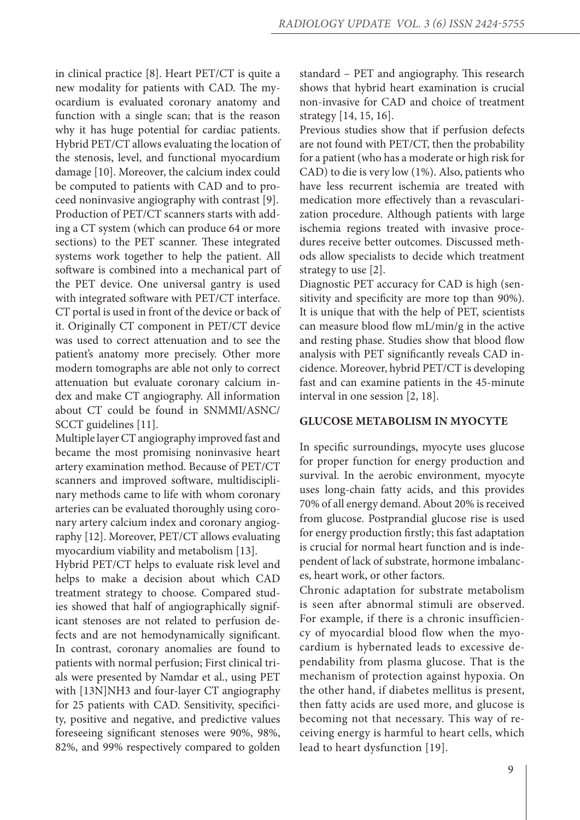in clinical practice [8]. Heart PET/CT is quite a new modality for patients with CAD. The myocardium is evaluated coronary anatomy and function with a single scan; that is the reason why it has huge potential for cardiac patients. Hybrid PET/CT allows evaluating the location of the stenosis, level, and functional myocardium damage [10]. Moreover, the calcium index could be computed to patients with CAD and to proceed noninvasive angiography with contrast [9]. Production of PET/CT scanners starts with adding a CT system (which can produce 64 or more sections) to the PET scanner. These integrated systems work together to help the patient. All software is combined into a mechanical part of the PET device. One universal gantry is used with integrated software with PET/CT interface. CT portal is used in front of the device or back of it. Originally CT component in PET/CT device was used to correct attenuation and to see the patient's anatomy more precisely. Other more modern tomographs are able not only to correct attenuation but evaluate coronary calcium index and make CT angiography. All information about CT could be found in SNMMI/ASNC/ SCCT guidelines [11].

Multiple layer CT angiography improved fast and became the most promising noninvasive heart artery examination method. Because of PET/CT scanners and improved software, multidisciplinary methods came to life with whom coronary arteries can be evaluated thoroughly using coronary artery calcium index and coronary angiography [12]. Moreover, PET/CT allows evaluating myocardium viability and metabolism [13].

Hybrid PET/CT helps to evaluate risk level and helps to make a decision about which CAD treatment strategy to choose. Compared studies showed that half of angiographically significant stenoses are not related to perfusion defects and are not hemodynamically significant. In contrast, coronary anomalies are found to patients with normal perfusion; First clinical trials were presented by Namdar et al., using PET with [13N]NH3 and four-layer CT angiography for 25 patients with CAD. Sensitivity, specificity, positive and negative, and predictive values foreseeing significant stenoses were 90%, 98%, 82%, and 99% respectively compared to golden

standard – PET and angiography. This research shows that hybrid heart examination is crucial non-invasive for CAD and choice of treatment strategy [14, 15, 16].

Previous studies show that if perfusion defects are not found with PET/CT, then the probability for a patient (who has a moderate or high risk for CAD) to die is very low (1%). Also, patients who have less recurrent ischemia are treated with medication more effectively than a revascularization procedure. Although patients with large ischemia regions treated with invasive procedures receive better outcomes. Discussed methods allow specialists to decide which treatment strategy to use [2].

Diagnostic PET accuracy for CAD is high (sensitivity and specificity are more top than 90%). It is unique that with the help of PET, scientists can measure blood flow mL/min/g in the active and resting phase. Studies show that blood flow analysis with PET significantly reveals CAD incidence. Moreover, hybrid PET/CT is developing fast and can examine patients in the 45-minute interval in one session [2, 18].

#### **GLUCOSE METABOLISM IN MYOCYTE**

In specific surroundings, myocyte uses glucose for proper function for energy production and survival. In the aerobic environment, myocyte uses long-chain fatty acids, and this provides 70% of all energy demand. About 20% is received from glucose. Postprandial glucose rise is used for energy production firstly; this fast adaptation is crucial for normal heart function and is independent of lack of substrate, hormone imbalances, heart work, or other factors.

Chronic adaptation for substrate metabolism is seen after abnormal stimuli are observed. For example, if there is a chronic insufficiency of myocardial blood flow when the myocardium is hybernated leads to excessive dependability from plasma glucose. That is the mechanism of protection against hypoxia. On the other hand, if diabetes mellitus is present, then fatty acids are used more, and glucose is becoming not that necessary. This way of receiving energy is harmful to heart cells, which lead to heart dysfunction [19].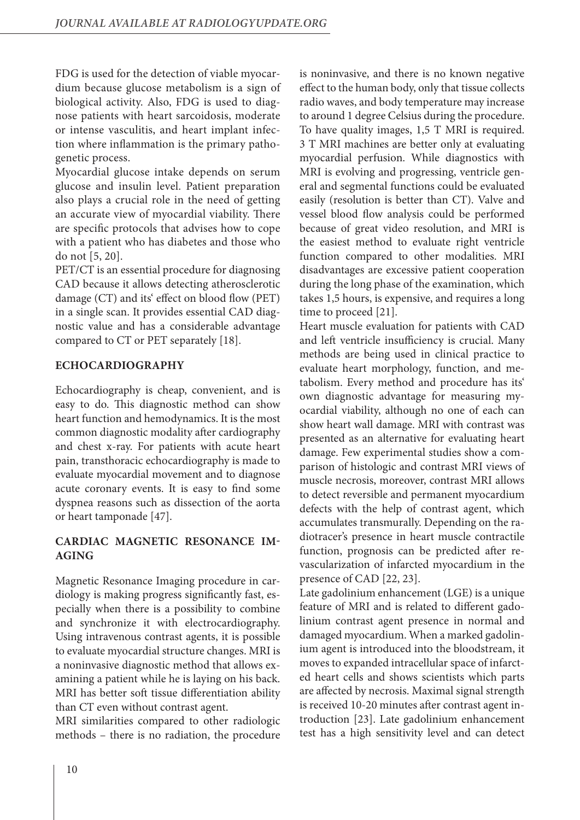FDG is used for the detection of viable myocardium because glucose metabolism is a sign of biological activity. Also, FDG is used to diagnose patients with heart sarcoidosis, moderate or intense vasculitis, and heart implant infection where inflammation is the primary pathogenetic process.

Myocardial glucose intake depends on serum glucose and insulin level. Patient preparation also plays a crucial role in the need of getting an accurate view of myocardial viability. There are specific protocols that advises how to cope with a patient who has diabetes and those who do not [5, 20].

PET/CT is an essential procedure for diagnosing CAD because it allows detecting atherosclerotic damage (CT) and its' effect on blood flow (PET) in a single scan. It provides essential CAD diagnostic value and has a considerable advantage compared to CT or PET separately [18].

# **ECHOCARDIOGRAPHY**

Echocardiography is cheap, convenient, and is easy to do. This diagnostic method can show heart function and hemodynamics. It is the most common diagnostic modality after cardiography and chest x-ray. For patients with acute heart pain, transthoracic echocardiography is made to evaluate myocardial movement and to diagnose acute coronary events. It is easy to find some dyspnea reasons such as dissection of the aorta or heart tamponade [47].

# **CARDIAC MAGNETIC RESONANCE IM-AGING**

Magnetic Resonance Imaging procedure in cardiology is making progress significantly fast, especially when there is a possibility to combine and synchronize it with electrocardiography. Using intravenous contrast agents, it is possible to evaluate myocardial structure changes. MRI is a noninvasive diagnostic method that allows examining a patient while he is laying on his back. MRI has better soft tissue differentiation ability than CT even without contrast agent.

MRI similarities compared to other radiologic methods – there is no radiation, the procedure

is noninvasive, and there is no known negative effect to the human body, only that tissue collects radio waves, and body temperature may increase to around 1 degree Celsius during the procedure. To have quality images, 1,5 T MRI is required. 3 T MRI machines are better only at evaluating myocardial perfusion. While diagnostics with MRI is evolving and progressing, ventricle general and segmental functions could be evaluated easily (resolution is better than CT). Valve and vessel blood flow analysis could be performed because of great video resolution, and MRI is the easiest method to evaluate right ventricle function compared to other modalities. MRI disadvantages are excessive patient cooperation during the long phase of the examination, which takes 1,5 hours, is expensive, and requires a long time to proceed [21].

Heart muscle evaluation for patients with CAD and left ventricle insufficiency is crucial. Many methods are being used in clinical practice to evaluate heart morphology, function, and metabolism. Every method and procedure has its' own diagnostic advantage for measuring myocardial viability, although no one of each can show heart wall damage. MRI with contrast was presented as an alternative for evaluating heart damage. Few experimental studies show a comparison of histologic and contrast MRI views of muscle necrosis, moreover, contrast MRI allows to detect reversible and permanent myocardium defects with the help of contrast agent, which accumulates transmurally. Depending on the radiotracer's presence in heart muscle contractile function, prognosis can be predicted after revascularization of infarcted myocardium in the presence of CAD [22, 23].

Late gadolinium enhancement (LGE) is a unique feature of MRI and is related to different gadolinium contrast agent presence in normal and damaged myocardium. When a marked gadolinium agent is introduced into the bloodstream, it moves to expanded intracellular space of infarcted heart cells and shows scientists which parts are affected by necrosis. Maximal signal strength is received 10-20 minutes after contrast agent introduction [23]. Late gadolinium enhancement test has a high sensitivity level and can detect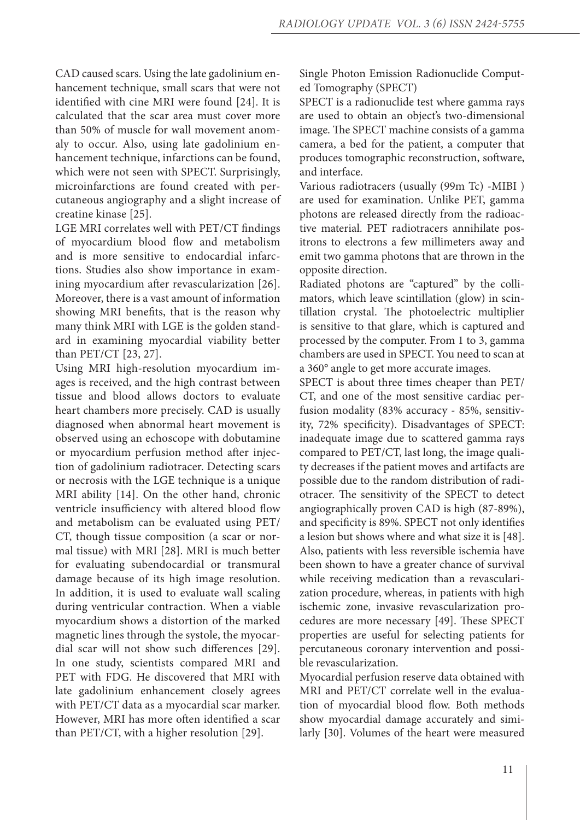CAD caused scars. Using the late gadolinium enhancement technique, small scars that were not identified with cine MRI were found [24]. It is calculated that the scar area must cover more than 50% of muscle for wall movement anomaly to occur. Also, using late gadolinium enhancement technique, infarctions can be found, which were not seen with SPECT. Surprisingly, microinfarctions are found created with percutaneous angiography and a slight increase of creatine kinase [25].

LGE MRI correlates well with PET/CT findings of myocardium blood flow and metabolism and is more sensitive to endocardial infarctions. Studies also show importance in examining myocardium after revascularization [26]. Moreover, there is a vast amount of information showing MRI benefits, that is the reason why many think MRI with LGE is the golden standard in examining myocardial viability better than PET/CT [23, 27].

Using MRI high-resolution myocardium images is received, and the high contrast between tissue and blood allows doctors to evaluate heart chambers more precisely. CAD is usually diagnosed when abnormal heart movement is observed using an echoscope with dobutamine or myocardium perfusion method after injection of gadolinium radiotracer. Detecting scars or necrosis with the LGE technique is a unique MRI ability [14]. On the other hand, chronic ventricle insufficiency with altered blood flow and metabolism can be evaluated using PET/ CT, though tissue composition (a scar or normal tissue) with MRI [28]. MRI is much better for evaluating subendocardial or transmural damage because of its high image resolution. In addition, it is used to evaluate wall scaling during ventricular contraction. When a viable myocardium shows a distortion of the marked magnetic lines through the systole, the myocardial scar will not show such differences [29]. In one study, scientists compared MRI and PET with FDG. He discovered that MRI with late gadolinium enhancement closely agrees with PET/CT data as a myocardial scar marker. However, MRI has more often identified a scar than PET/CT, with a higher resolution [29].

Single Photon Emission Radionuclide Computed Tomography (SPECT)

SPECT is a radionuclide test where gamma rays are used to obtain an object's two-dimensional image. The SPECT machine consists of a gamma camera, a bed for the patient, a computer that produces tomographic reconstruction, software, and interface.

Various radiotracers (usually (99m Tc) -MIBI ) are used for examination. Unlike PET, gamma photons are released directly from the radioactive material. PET radiotracers annihilate positrons to electrons a few millimeters away and emit two gamma photons that are thrown in the opposite direction.

Radiated photons are "captured" by the collimators, which leave scintillation (glow) in scintillation crystal. The photoelectric multiplier is sensitive to that glare, which is captured and processed by the computer. From 1 to 3, gamma chambers are used in SPECT. You need to scan at a 360° angle to get more accurate images.

SPECT is about three times cheaper than PET/ CT, and one of the most sensitive cardiac perfusion modality (83% accuracy - 85%, sensitivity, 72% specificity). Disadvantages of SPECT: inadequate image due to scattered gamma rays compared to PET/CT, last long, the image quality decreases if the patient moves and artifacts are possible due to the random distribution of radiotracer. The sensitivity of the SPECT to detect angiographically proven CAD is high (87-89%), and specificity is 89%. SPECT not only identifies a lesion but shows where and what size it is [48]. Also, patients with less reversible ischemia have been shown to have a greater chance of survival while receiving medication than a revascularization procedure, whereas, in patients with high ischemic zone, invasive revascularization procedures are more necessary [49]. These SPECT properties are useful for selecting patients for percutaneous coronary intervention and possible revascularization.

Myocardial perfusion reserve data obtained with MRI and PET/CT correlate well in the evaluation of myocardial blood flow. Both methods show myocardial damage accurately and similarly [30]. Volumes of the heart were measured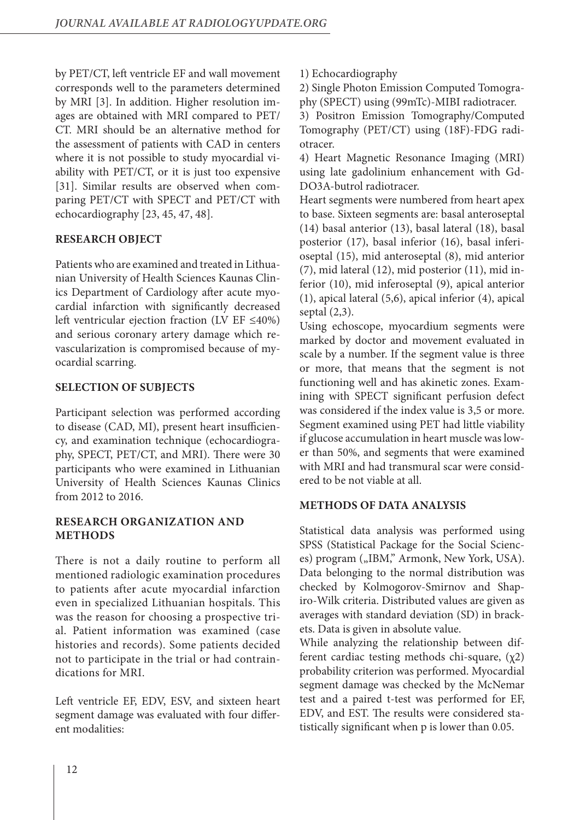by PET/CT, left ventricle EF and wall movement corresponds well to the parameters determined by MRI [3]. In addition. Higher resolution images are obtained with MRI compared to PET/ CT. MRI should be an alternative method for the assessment of patients with CAD in centers where it is not possible to study myocardial viability with PET/CT, or it is just too expensive [31]. Similar results are observed when comparing PET/CT with SPECT and PET/CT with echocardiography [23, 45, 47, 48].

# **RESEARCH OBJECT**

Patients who are examined and treated in Lithuanian University of Health Sciences Kaunas Clinics Department of Cardiology after acute myocardial infarction with significantly decreased left ventricular ejection fraction (LV EF ≤40%) and serious coronary artery damage which revascularization is compromised because of myocardial scarring.

# **SELECTION OF SUBJECTS**

Participant selection was performed according to disease (CAD, MI), present heart insufficiency, and examination technique (echocardiography, SPECT, PET/CT, and MRI). There were 30 participants who were examined in Lithuanian University of Health Sciences Kaunas Clinics from 2012 to 2016.

## **RESEARCH ORGANIZATION AND METHODS**

There is not a daily routine to perform all mentioned radiologic examination procedures to patients after acute myocardial infarction even in specialized Lithuanian hospitals. This was the reason for choosing a prospective trial. Patient information was examined (case histories and records). Some patients decided not to participate in the trial or had contraindications for MRI.

Left ventricle EF, EDV, ESV, and sixteen heart segment damage was evaluated with four different modalities:

1) Echocardiography

2) Single Photon Emission Computed Tomography (SPECT) using (99mTc)-MIBI radiotracer.

3) Positron Emission Tomography/Computed Tomography (PET/CT) using (18F)-FDG radiotracer.

4) Heart Magnetic Resonance Imaging (MRI) using late gadolinium enhancement with Gd-DO3A-butrol radiotracer.

Heart segments were numbered from heart apex to base. Sixteen segments are: basal anteroseptal (14) basal anterior (13), basal lateral (18), basal posterior (17), basal inferior (16), basal inferioseptal (15), mid anteroseptal (8), mid anterior (7), mid lateral (12), mid posterior (11), mid inferior (10), mid inferoseptal (9), apical anterior (1), apical lateral (5,6), apical inferior (4), apical septal (2,3).

Using echoscope, myocardium segments were marked by doctor and movement evaluated in scale by a number. If the segment value is three or more, that means that the segment is not functioning well and has akinetic zones. Examining with SPECT significant perfusion defect was considered if the index value is 3,5 or more. Segment examined using PET had little viability if glucose accumulation in heart muscle was lower than 50%, and segments that were examined with MRI and had transmural scar were considered to be not viable at all.

## **METHODS OF DATA ANALYSIS**

Statistical data analysis was performed using SPSS (Statistical Package for the Social Sciences) program ("IBM," Armonk, New York, USA). Data belonging to the normal distribution was checked by Kolmogorov-Smirnov and Shapiro-Wilk criteria. Distributed values are given as averages with standard deviation (SD) in brackets. Data is given in absolute value.

While analyzing the relationship between different cardiac testing methods chi-square,  $(\chi^2)$ probability criterion was performed. Myocardial segment damage was checked by the McNemar test and a paired t-test was performed for EF, EDV, and EST. The results were considered statistically significant when p is lower than 0.05.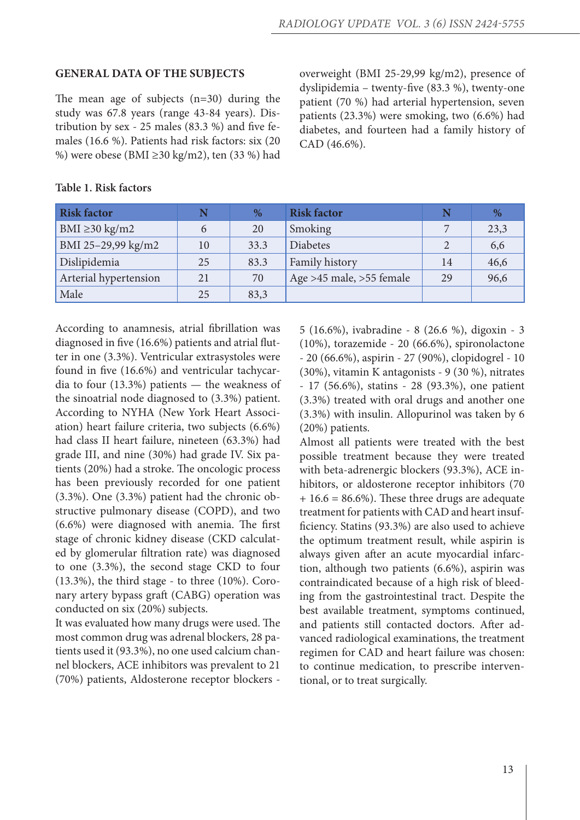#### **GENERAL DATA OF THE SUBJECTS**

The mean age of subjects (n=30) during the study was 67.8 years (range 43-84 years). Distribution by sex - 25 males (83.3 %) and five females (16.6 %). Patients had risk factors: six (20 %) were obese (BMI ≥30 kg/m2), ten (33 %) had overweight (BMI 25-29,99 kg/m2), presence of dyslipidemia – twenty-five (83.3 %), twenty-one patient (70 %) had arterial hypertension, seven patients (23.3%) were smoking, two (6.6%) had diabetes, and fourteen had a family history of CAD (46.6%).

| <b>Risk factor</b>    |    | %    | <b>Risk factor</b>       | N  | $\%$ |
|-----------------------|----|------|--------------------------|----|------|
| BMI $\geq$ 30 kg/m2   | 6  | 20   | Smoking                  |    | 23,3 |
| BMI 25-29,99 kg/m2    | 10 | 33.3 | Diabetes                 |    | 6,6  |
| Dislipidemia          | 25 | 83.3 | Family history           | 14 | 46,6 |
| Arterial hypertension | 21 | 70   | Age >45 male, >55 female | 29 | 96,6 |
| Male                  | 25 | 83,3 |                          |    |      |

#### **Table 1. Risk factors**

According to anamnesis, atrial fibrillation was diagnosed in five (16.6%) patients and atrial flutter in one (3.3%). Ventricular extrasystoles were found in five (16.6%) and ventricular tachycardia to four (13.3%) patients — the weakness of the sinoatrial node diagnosed to (3.3%) patient. According to NYHA (New York Heart Association) heart failure criteria, two subjects (6.6%) had class II heart failure, nineteen (63.3%) had grade III, and nine (30%) had grade IV. Six patients (20%) had a stroke. The oncologic process has been previously recorded for one patient (3.3%). One (3.3%) patient had the chronic obstructive pulmonary disease (COPD), and two (6.6%) were diagnosed with anemia. The first stage of chronic kidney disease (CKD calculated by glomerular filtration rate) was diagnosed to one (3.3%), the second stage CKD to four (13.3%), the third stage - to three (10%). Coronary artery bypass graft (CABG) operation was conducted on six (20%) subjects.

It was evaluated how many drugs were used. The most common drug was adrenal blockers, 28 patients used it (93.3%), no one used calcium channel blockers, ACE inhibitors was prevalent to 21 (70%) patients, Aldosterone receptor blockers - 5 (16.6%), ivabradine - 8 (26.6 %), digoxin - 3 (10%), torazemide - 20 (66.6%), spironolactone - 20 (66.6%), aspirin - 27 (90%), clopidogrel - 10 (30%), vitamin K antagonists - 9 (30 %), nitrates - 17 (56.6%), statins - 28 (93.3%), one patient (3.3%) treated with oral drugs and another one (3.3%) with insulin. Allopurinol was taken by 6 (20%) patients.

Almost all patients were treated with the best possible treatment because they were treated with beta-adrenergic blockers (93.3%), ACE inhibitors, or aldosterone receptor inhibitors (70  $+ 16.6 = 86.6\%$ . These three drugs are adequate treatment for patients with CAD and heart insufficiency. Statins (93.3%) are also used to achieve the optimum treatment result, while aspirin is always given after an acute myocardial infarction, although two patients (6.6%), aspirin was contraindicated because of a high risk of bleeding from the gastrointestinal tract. Despite the best available treatment, symptoms continued, and patients still contacted doctors. After advanced radiological examinations, the treatment regimen for CAD and heart failure was chosen: to continue medication, to prescribe interventional, or to treat surgically.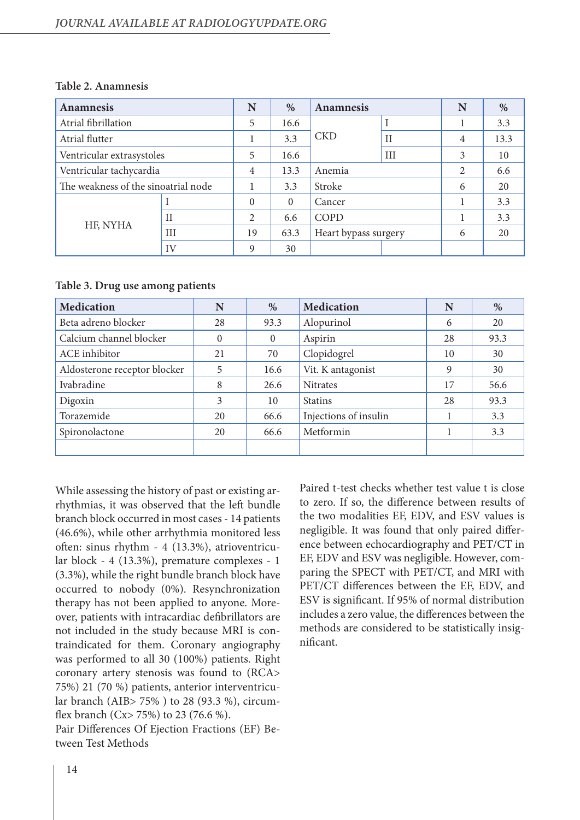| <b>Anamnesis</b>                    |     | N              | %        | <b>Anamnesis</b>     |             | N | $\%$ |
|-------------------------------------|-----|----------------|----------|----------------------|-------------|---|------|
| Atrial fibrillation                 |     | 5              | 16.6     |                      |             |   | 3.3  |
| Atrial flutter                      |     |                | 3.3      | <b>CKD</b>           | $_{\rm II}$ | 4 | 13.3 |
| Ventricular extrasystoles           |     | 5              | 16.6     |                      | III         | 3 | 10   |
| Ventricular tachycardia             |     | $\overline{4}$ | 13.3     | Anemia               |             | 2 | 6.6  |
| The weakness of the sinoatrial node |     |                | 3.3      | Stroke               |             | 6 | 20   |
| $\mathbf{I}$<br>HF, NYHA            |     | $\Omega$       | $\theta$ | Cancer               |             |   | 3.3  |
|                                     |     | $\overline{2}$ | 6.6      | COPD                 |             |   | 3.3  |
|                                     | III | 19             | 63.3     | Heart bypass surgery |             | 6 | 20   |
|                                     | IV  | 9              | 30       |                      |             |   |      |

#### **Table 2. Anamnesis**

#### **Table 3. Drug use among patients**

| <b>Medication</b>            | N        | %        | <b>Medication</b>     | N  | %    |
|------------------------------|----------|----------|-----------------------|----|------|
| Beta adreno blocker          | 28       | 93.3     | Alopurinol            | 6  | 20   |
| Calcium channel blocker      | $\Omega$ | $\theta$ | Aspirin               | 28 | 93.3 |
| ACE inhibitor                | 21       | 70       | Clopidogrel           | 10 | 30   |
| Aldosterone receptor blocker | 5        | 16.6     | Vit. K antagonist     | 9  | 30   |
| Ivabradine                   | 8        | 26.6     | <b>Nitrates</b>       | 17 | 56.6 |
| Digoxin                      | 3        | 10       | <b>Statins</b>        | 28 | 93.3 |
| Torazemide                   | 20       | 66.6     | Injections of insulin |    | 3.3  |
| Spironolactone               | 20       | 66.6     | Metformin             |    | 3.3  |
|                              |          |          |                       |    |      |

While assessing the history of past or existing arrhythmias, it was observed that the left bundle branch block occurred in most cases - 14 patients (46.6%), while other arrhythmia monitored less often: sinus rhythm - 4 (13.3%), atrioventricular block - 4 (13.3%), premature complexes - 1 (3.3%), while the right bundle branch block have occurred to nobody (0%). Resynchronization therapy has not been applied to anyone. Moreover, patients with intracardiac defibrillators are not included in the study because MRI is contraindicated for them. Coronary angiography was performed to all 30 (100%) patients. Right coronary artery stenosis was found to (RCA> 75%) 21 (70 %) patients, anterior interventricular branch (AIB> 75% ) to 28 (93.3 %), circumflex branch (Cx> 75%) to 23 (76.6 %).

Pair Differences Of Ejection Fractions (EF) Between Test Methods

Paired t-test checks whether test value t is close to zero. If so, the difference between results of the two modalities EF, EDV, and ESV values is negligible. It was found that only paired difference between echocardiography and PET/CT in EF, EDV and ESV was negligible. However, comparing the SPECT with PET/CT, and MRI with PET/CT differences between the EF, EDV, and ESV is significant. If 95% of normal distribution includes a zero value, the differences between the methods are considered to be statistically insignificant.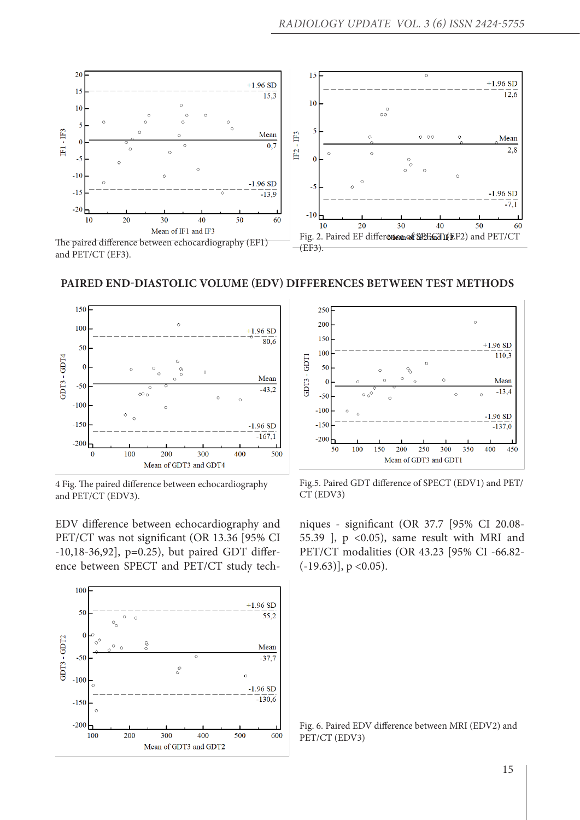

## **PAIRED END-DIASTOLIC VOLUME (EDV) DIFFERENCES BETWEEN TEST METHODS**



4 Fig. The paired difference between echocardiography and PET/CT (EDV3).

EDV difference between echocardiography and PET/CT was not significant (OR 13.36 [95% CI -10,18-36,92], p=0.25), but paired GDT difference between SPECT and PET/CT study tech-





Fig.5. Paired GDT difference of SPECT (EDV1) and PET/ CT (EDV3)

niques - significant (OR 37.7 [95% CI 20.08- 55.39 ], p <0.05), same result with MRI and PET/CT modalities (OR 43.23 [95% CI -66.82-  $(-19.63)$ ], p < 0.05).

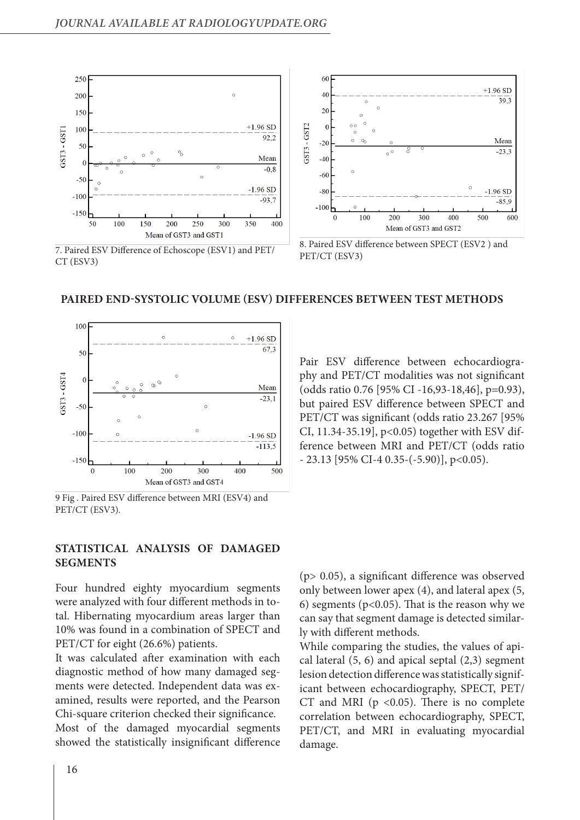

#### **PAIRED END-SYSTOLIC VOLUME (ESV) DIFFERENCES BETWEEN TEST METHODS**



9 Fig . Paired ESV difference between MRI (ESV4) and PET/CT (ESV3).

## **STATISTICAL ANALYSIS OF DAMAGED SEGMENTS**

Four hundred eighty myocardium segments were analyzed with four different methods in total. Hibernating myocardium areas larger than 10% was found in a combination of SPECT and PET/CT for eight (26.6%) patients.

It was calculated after examination with each diagnostic method of how many damaged segments were detected. Independent data was examined, results were reported, and the Pearson Chi-square criterion checked their significance. Most of the damaged myocardial segments showed the statistically insignificant difference Pair ESV difference between echocardiography and PET/CT modalities was not significant (odds ratio 0.76 [95% CI -16,93-18,46], p=0.93), but paired ESV difference between SPECT and PET/CT was significant (odds ratio 23.267 [95% CI, 11.34-35.19], p<0.05) together with ESV difference between MRI and PET/CT (odds ratio  $- 23.13$  [95% CI-4 0.35-(-5.90)], p<0.05).

(p> 0.05), a significant difference was observed only between lower apex (4), and lateral apex (5, 6) segments ( $p<0.05$ ). That is the reason why we can say that segment damage is detected similarly with different methods.

While comparing the studies, the values of apical lateral (5, 6) and apical septal (2,3) segment lesion detection difference was statistically significant between echocardiography, SPECT, PET/ CT and MRI ( $p$  <0.05). There is no complete correlation between echocardiography, SPECT, PET/CT, and MRI in evaluating myocardial damage.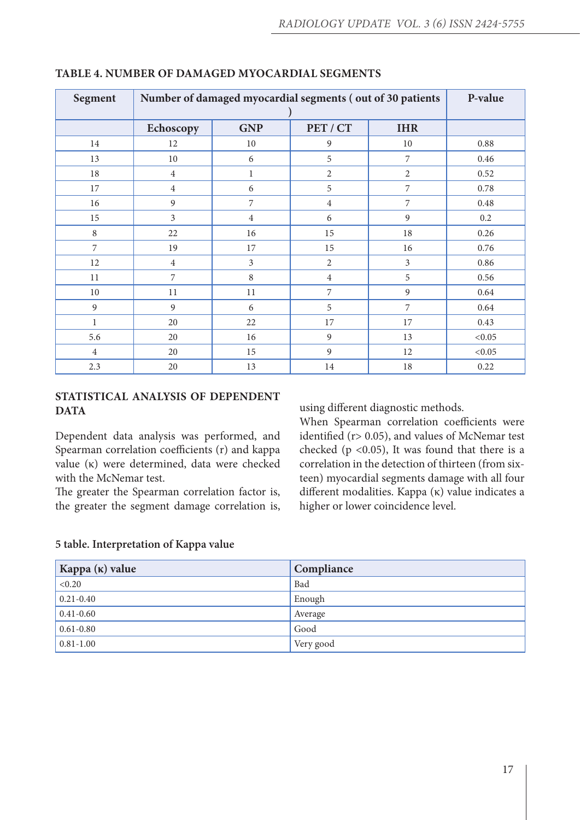| Segment        | Number of damaged myocardial segments (out of 30 patients | P-value        |                |                |        |
|----------------|-----------------------------------------------------------|----------------|----------------|----------------|--------|
|                | Echoscopy                                                 | <b>GNP</b>     | PET / CT       | <b>IHR</b>     |        |
| 14             | 12                                                        | 10             | 9              | 10             | 0.88   |
| 13             | $10\,$                                                    | 6              | 5              | 7              | 0.46   |
| 18             | $\overline{4}$                                            | $\mathbf{1}$   | $\overline{2}$ | $\overline{2}$ | 0.52   |
| 17             | $\overline{4}$                                            | 6              | 5              | $\overline{7}$ | 0.78   |
| 16             | 9                                                         | $\overline{7}$ | $\overline{4}$ | $\overline{7}$ | 0.48   |
| $15\,$         | $\overline{3}$                                            | $\overline{4}$ | 6              | 9              | 0.2    |
| $\,8\,$        | 22                                                        | 16             | 15             | 18             | 0.26   |
| $\overline{7}$ | 19                                                        | 17             | 15             | 16             | 0.76   |
| 12             | $\overline{4}$                                            | $\overline{3}$ | $\overline{2}$ | $\overline{3}$ | 0.86   |
| 11             | $\overline{7}$                                            | 8              | $\overline{4}$ | 5              | 0.56   |
| 10             | 11                                                        | 11             | 7              | $\overline{9}$ | 0.64   |
| $\overline{9}$ | 9                                                         | 6              | 5              | $\overline{7}$ | 0.64   |
| $\mathbf{1}$   | 20                                                        | 22             | 17             | 17             | 0.43   |
| 5.6            | 20                                                        | 16             | 9              | 13             | < 0.05 |
| $\overline{4}$ | 20                                                        | 15             | 9              | 12             | < 0.05 |
| 2.3            | 20                                                        | 13             | 14             | 18             | 0.22   |

## **TABLE 4. NUMBER OF DAMAGED MYOCARDIAL SEGMENTS**

## **STATISTICAL ANALYSIS OF DEPENDENT DATA**

Dependent data analysis was performed, and Spearman correlation coefficients (r) and kappa value (κ) were determined, data were checked with the McNemar test.

The greater the Spearman correlation factor is, the greater the segment damage correlation is, using different diagnostic methods.

When Spearman correlation coefficients were identified (r> 0.05), and values of McNemar test checked ( $p \le 0.05$ ), It was found that there is a correlation in the detection of thirteen (from sixteen) myocardial segments damage with all four different modalities. Kappa (κ) value indicates a higher or lower coincidence level.

| Kappa (κ) value | Compliance |
|-----------------|------------|
| < 0.20          | Bad        |
| $0.21 - 0.40$   | Enough     |
| $0.41 - 0.60$   | Average    |
| $0.61 - 0.80$   | Good       |
| $0.81 - 1.00$   | Very good  |

#### **5 table. Interpretation of Kappa value**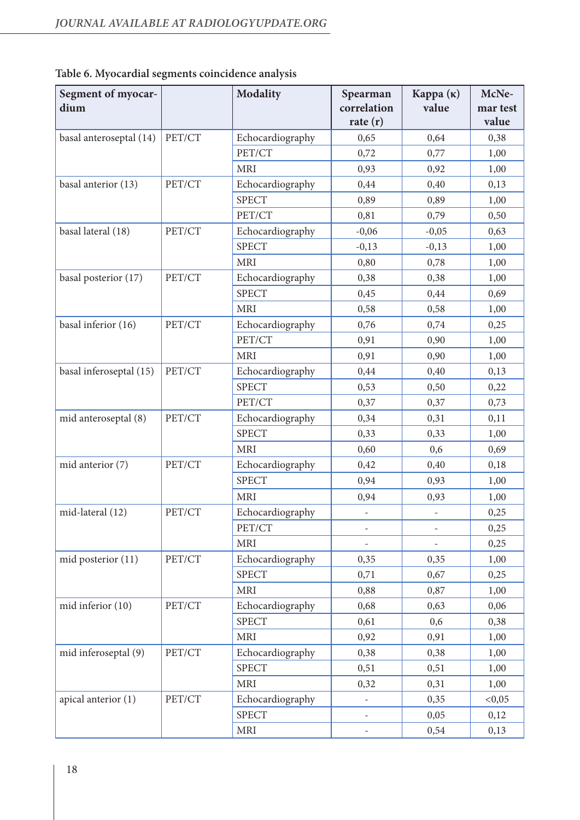| Segment of myocar-<br>dium |        | <b>Modality</b>  | Spearman<br>correlation<br>rate $(r)$ | Карра $(\kappa)$<br>value | McNe-<br>mar test<br>value |
|----------------------------|--------|------------------|---------------------------------------|---------------------------|----------------------------|
| basal anteroseptal (14)    | PET/CT | Echocardiography | 0,65                                  | 0,64                      | 0,38                       |
|                            |        | PET/CT           | 0,72                                  | 0,77                      | 1,00                       |
|                            |        | <b>MRI</b>       | 0,93                                  | 0,92                      | 1,00                       |
| basal anterior (13)        | PET/CT | Echocardiography | 0,44                                  | 0,40                      | 0,13                       |
|                            |        | <b>SPECT</b>     | 0,89                                  | 0,89                      | 1,00                       |
|                            |        | PET/CT           | 0,81                                  | 0,79                      | 0,50                       |
| basal lateral (18)         | PET/CT | Echocardiography | $-0,06$                               | $-0,05$                   | 0,63                       |
|                            |        | <b>SPECT</b>     | $-0,13$                               | $-0,13$                   | 1,00                       |
|                            |        | <b>MRI</b>       | 0,80                                  | 0,78                      | 1,00                       |
| basal posterior (17)       | PET/CT | Echocardiography | 0,38                                  | 0,38                      | 1,00                       |
|                            |        | <b>SPECT</b>     | 0,45                                  | 0,44                      | 0,69                       |
|                            |        | <b>MRI</b>       | 0,58                                  | 0,58                      | 1,00                       |
| basal inferior (16)        | PET/CT | Echocardiography | 0,76                                  | 0,74                      | 0,25                       |
|                            |        | PET/CT           | 0,91                                  | 0,90                      | 1,00                       |
|                            |        | <b>MRI</b>       | 0,91                                  | 0,90                      | 1,00                       |
| basal inferoseptal (15)    | PET/CT | Echocardiography | 0,44                                  | 0,40                      | 0,13                       |
|                            |        | <b>SPECT</b>     | 0,53                                  | 0,50                      | 0,22                       |
|                            |        | PET/CT           | 0,37                                  | 0,37                      | 0,73                       |
| mid anteroseptal (8)       | PET/CT | Echocardiography | 0,34                                  | 0,31                      | 0,11                       |
|                            |        | <b>SPECT</b>     | 0,33                                  | 0,33                      | 1,00                       |
|                            |        | <b>MRI</b>       | 0,60                                  | 0,6                       | 0,69                       |
| mid anterior (7)           | PET/CT | Echocardiography | 0,42                                  | 0,40                      | 0,18                       |
|                            |        | <b>SPECT</b>     | 0,94                                  | 0,93                      | 1,00                       |
|                            |        | <b>MRI</b>       | 0,94                                  | 0,93                      | 1,00                       |
| mid-lateral (12)           | PET/CT | Echocardiography |                                       |                           | 0,25                       |
|                            |        | PET/CT           | $\overline{\phantom{a}}$              | $\overline{\phantom{a}}$  | 0,25                       |
|                            |        | <b>MRI</b>       |                                       |                           | 0,25                       |
| mid posterior (11)         | PET/CT | Echocardiography | 0,35                                  | 0,35                      | 1,00                       |
|                            |        | <b>SPECT</b>     | 0,71                                  | 0,67                      | 0,25                       |
|                            |        | <b>MRI</b>       | 0,88                                  | 0,87                      | 1,00                       |
| mid inferior (10)          | PET/CT | Echocardiography | 0,68                                  | 0,63                      | 0,06                       |
|                            |        | <b>SPECT</b>     | 0,61                                  | 0,6                       | 0,38                       |
|                            |        | <b>MRI</b>       | 0,92                                  | 0,91                      | 1,00                       |
| mid inferoseptal (9)       | PET/CT | Echocardiography | 0,38                                  | 0,38                      | 1,00                       |
|                            |        | <b>SPECT</b>     | 0,51                                  | 0,51                      | 1,00                       |
|                            |        | <b>MRI</b>       | 0,32                                  | 0,31                      | 1,00                       |
| apical anterior (1)        | PET/CT | Echocardiography |                                       | 0,35                      | < 0,05                     |
|                            |        | <b>SPECT</b>     |                                       | 0,05                      | 0,12                       |
|                            |        | <b>MRI</b>       |                                       | 0,54                      | 0,13                       |

| Table 6. Myocardial segments coincidence analysis |  |  |  |
|---------------------------------------------------|--|--|--|
|---------------------------------------------------|--|--|--|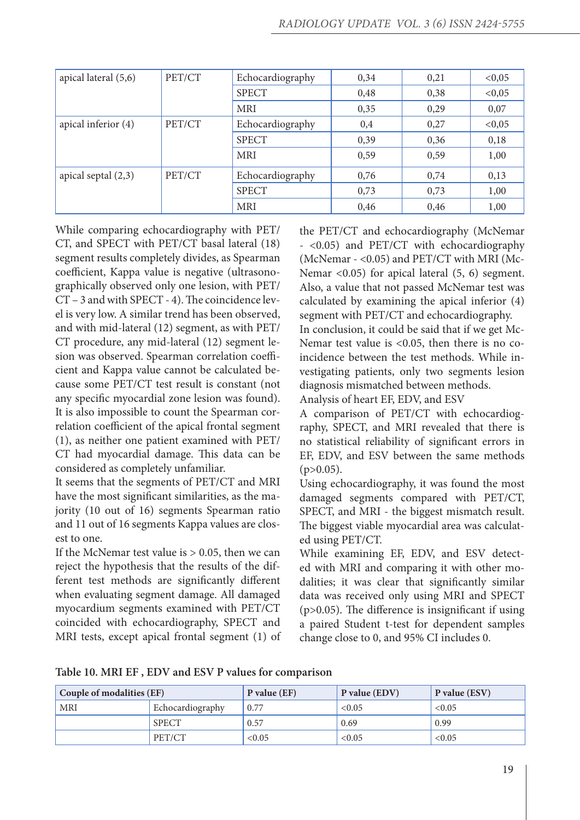| apical lateral (5,6)<br>PET/CT |        | Echocardiography | 0,34 | 0,21 | < 0,05 |
|--------------------------------|--------|------------------|------|------|--------|
|                                |        | <b>SPECT</b>     | 0,48 | 0,38 | < 0,05 |
|                                |        | <b>MRI</b>       | 0,35 | 0,29 | 0,07   |
| apical inferior (4)            | PET/CT | Echocardiography | 0,4  | 0,27 | < 0,05 |
|                                |        | <b>SPECT</b>     | 0,39 | 0,36 | 0,18   |
|                                |        | <b>MRI</b>       | 0,59 | 0,59 | 1,00   |
| apical septal $(2,3)$          | PET/CT | Echocardiography | 0,76 | 0,74 | 0,13   |
|                                |        | <b>SPECT</b>     | 0,73 | 0,73 | 1,00   |
|                                |        | <b>MRI</b>       | 0,46 | 0,46 | 1,00   |

While comparing echocardiography with PET/ CT, and SPECT with PET/CT basal lateral (18) segment results completely divides, as Spearman coefficient, Kappa value is negative (ultrasonographically observed only one lesion, with PET/ CT – 3 and with SPECT - 4). The coincidence level is very low. A similar trend has been observed, and with mid-lateral (12) segment, as with PET/ CT procedure, any mid-lateral (12) segment lesion was observed. Spearman correlation coefficient and Kappa value cannot be calculated because some PET/CT test result is constant (not any specific myocardial zone lesion was found). It is also impossible to count the Spearman correlation coefficient of the apical frontal segment (1), as neither one patient examined with PET/ CT had myocardial damage. This data can be considered as completely unfamiliar.

It seems that the segments of PET/CT and MRI have the most significant similarities, as the majority (10 out of 16) segments Spearman ratio and 11 out of 16 segments Kappa values are closest to one.

If the McNemar test value is  $> 0.05$ , then we can reject the hypothesis that the results of the different test methods are significantly different when evaluating segment damage. All damaged myocardium segments examined with PET/CT coincided with echocardiography, SPECT and MRI tests, except apical frontal segment (1) of the PET/CT and echocardiography (McNemar - <0.05) and PET/CT with echocardiography (McNemar - <0.05) and PET/CT with MRI (Mc-Nemar <0.05) for apical lateral (5, 6) segment. Also, a value that not passed McNemar test was calculated by examining the apical inferior (4) segment with PET/CT and echocardiography.

In conclusion, it could be said that if we get Mc-Nemar test value is <0.05, then there is no coincidence between the test methods. While investigating patients, only two segments lesion diagnosis mismatched between methods.

Analysis of heart EF, EDV, and ESV

A comparison of PET/CT with echocardiography, SPECT, and MRI revealed that there is no statistical reliability of significant errors in EF, EDV, and ESV between the same methods  $(p>0.05)$ .

Using echocardiography, it was found the most damaged segments compared with PET/CT, SPECT, and MRI - the biggest mismatch result. The biggest viable myocardial area was calculated using PET/CT.

While examining EF, EDV, and ESV detected with MRI and comparing it with other modalities; it was clear that significantly similar data was received only using MRI and SPECT (p>0.05). The difference is insignificant if using a paired Student t-test for dependent samples change close to 0, and 95% CI includes 0.

**Table 10. MRI EF , EDV and ESV P values for comparison**

| Couple of modalities (EF) |                  | $P$ value (EF) | P value (EDV) | P value (ESV) |
|---------------------------|------------------|----------------|---------------|---------------|
| MRI                       | Echocardiography | 0.77           | < 0.05        | < 0.05        |
|                           | <b>SPECT</b>     | 0.57           | 0.69          | 0.99          |
|                           | PET/CT           | < 0.05         | < 0.05        | < 0.05        |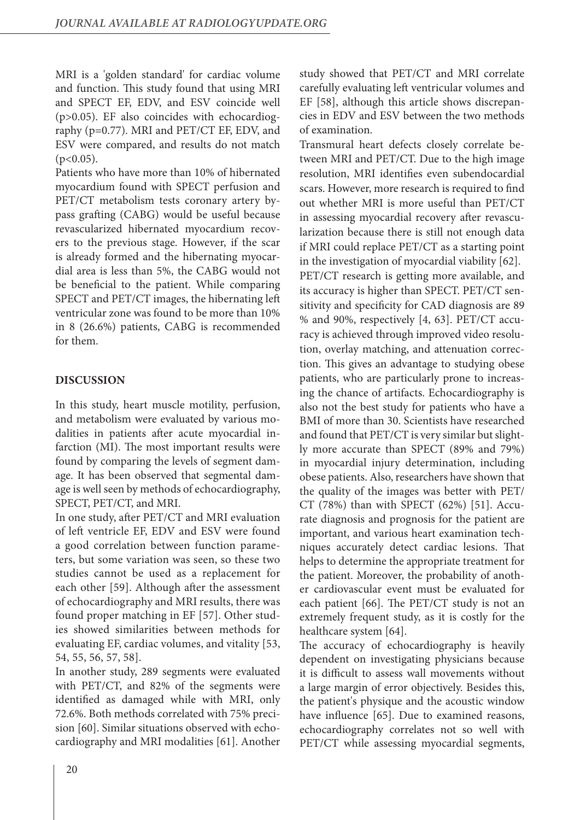MRI is a 'golden standard' for cardiac volume and function. This study found that using MRI and SPECT EF, EDV, and ESV coincide well (p>0.05). EF also coincides with echocardiography (p=0.77). MRI and PET/CT EF, EDV, and ESV were compared, and results do not match  $(p<0.05)$ .

Patients who have more than 10% of hibernated myocardium found with SPECT perfusion and PET/CT metabolism tests coronary artery bypass grafting (CABG) would be useful because revascularized hibernated myocardium recovers to the previous stage. However, if the scar is already formed and the hibernating myocardial area is less than 5%, the CABG would not be beneficial to the patient. While comparing SPECT and PET/CT images, the hibernating left ventricular zone was found to be more than 10% in 8 (26.6%) patients, CABG is recommended for them.

## **DISCUSSION**

In this study, heart muscle motility, perfusion, and metabolism were evaluated by various modalities in patients after acute myocardial infarction (MI). The most important results were found by comparing the levels of segment damage. It has been observed that segmental damage is well seen by methods of echocardiography, SPECT, PET/CT, and MRI.

In one study, after PET/CT and MRI evaluation of left ventricle EF, EDV and ESV were found a good correlation between function parameters, but some variation was seen, so these two studies cannot be used as a replacement for each other [59]. Although after the assessment of echocardiography and MRI results, there was found proper matching in EF [57]. Other studies showed similarities between methods for evaluating EF, cardiac volumes, and vitality [53, 54, 55, 56, 57, 58].

In another study, 289 segments were evaluated with PET/CT, and 82% of the segments were identified as damaged while with MRI, only 72.6%. Both methods correlated with 75% precision [60]. Similar situations observed with echocardiography and MRI modalities [61]. Another

study showed that PET/CT and MRI correlate carefully evaluating left ventricular volumes and EF [58], although this article shows discrepancies in EDV and ESV between the two methods of examination.

Transmural heart defects closely correlate between MRI and PET/CT. Due to the high image resolution, MRI identifies even subendocardial scars. However, more research is required to find out whether MRI is more useful than PET/CT in assessing myocardial recovery after revascularization because there is still not enough data if MRI could replace PET/CT as a starting point in the investigation of myocardial viability [62]. PET/CT research is getting more available, and its accuracy is higher than SPECT. PET/CT sensitivity and specificity for CAD diagnosis are 89 % and 90%, respectively [4, 63]. PET/CT accuracy is achieved through improved video resolution, overlay matching, and attenuation correction. This gives an advantage to studying obese patients, who are particularly prone to increasing the chance of artifacts. Echocardiography is also not the best study for patients who have a BMI of more than 30. Scientists have researched and found that PET/CT is very similar but slightly more accurate than SPECT (89% and 79%) in myocardial injury determination, including obese patients. Also, researchers have shown that the quality of the images was better with PET/ CT (78%) than with SPECT (62%) [51]. Accurate diagnosis and prognosis for the patient are important, and various heart examination techniques accurately detect cardiac lesions. That helps to determine the appropriate treatment for the patient. Moreover, the probability of another cardiovascular event must be evaluated for each patient [66]. The PET/CT study is not an extremely frequent study, as it is costly for the healthcare system [64].

The accuracy of echocardiography is heavily dependent on investigating physicians because it is difficult to assess wall movements without a large margin of error objectively. Besides this, the patient's physique and the acoustic window have influence [65]. Due to examined reasons, echocardiography correlates not so well with PET/CT while assessing myocardial segments,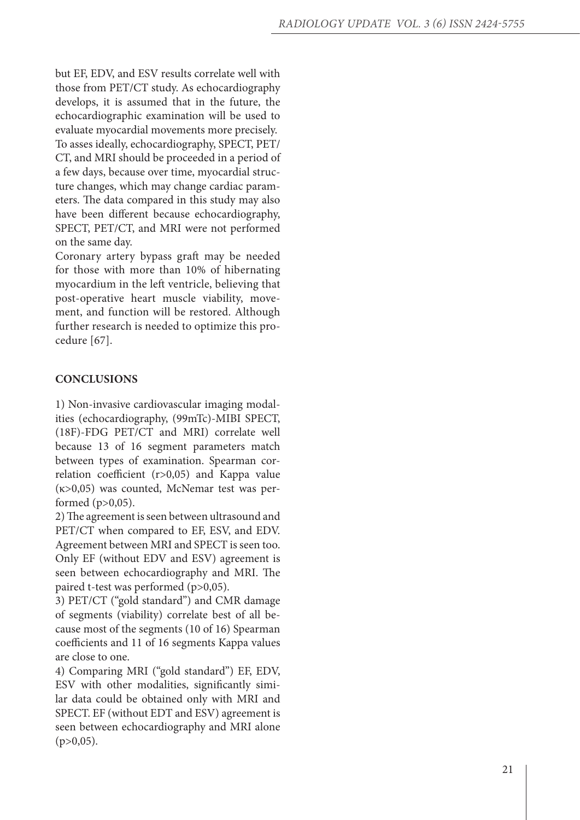but EF, EDV, and ESV results correlate well with those from PET/CT study. As echocardiography develops, it is assumed that in the future, the echocardiographic examination will be used to evaluate myocardial movements more precisely. To asses ideally, echocardiography, SPECT, PET/ CT, and MRI should be proceeded in a period of a few days, because over time, myocardial struc ture changes, which may change cardiac param eters. The data compared in this study may also have been different because echocardiography, SPECT, PET/CT, and MRI were not performed on the same day.

Coronary artery bypass graft may be needed for those with more than 10% of hibernating myocardium in the left ventricle, believing that post-operative heart muscle viability, move ment, and function will be restored. Although further research is needed to optimize this pro cedure [67].

# **CONCLUSIONS**

1) Non-invasive cardiovascular imaging modal ities (echocardiography, (99mTc)-MIBI SPECT, (18F)-FDG PET/CT and MRI) correlate well because 13 of 16 segment parameters match between types of examination. Spearman cor relation coefficient (r>0,05) and Kappa value (κ>0,05) was counted, McNemar test was per formed  $(p>0,05)$ .

2) The agreement is seen between ultrasound and PET/CT when compared to EF, ESV, and EDV. Agreement between MRI and SPECT is seen too. Only EF (without EDV and ESV) agreement is seen between echocardiography and MRI. The paired t-test was performed (p>0,05).

3) PET/CT ("gold standard") and CMR damage of segments (viability) correlate best of all be cause most of the segments (10 of 16) Spearman coefficients and 11 of 16 segments Kappa values are close to one.

4) Comparing MRI ("gold standard") EF, EDV, ESV with other modalities, significantly simi lar data could be obtained only with MRI and SPECT. EF (without EDT and ESV) agreement is seen between echocardiography and MRI alone  $(p>0,05)$ .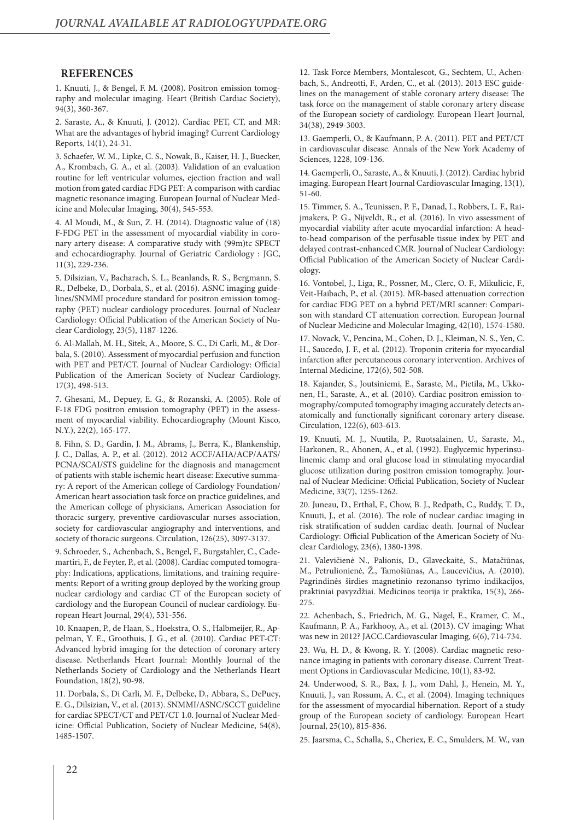#### **REFERENCES**

1. Knuuti, J., & Bengel, F. M. (2008). Positron emission tomography and molecular imaging. Heart (British Cardiac Society), 94(3), 360-367.

2. Saraste, A., & Knuuti, J. (2012). Cardiac PET, CT, and MR: What are the advantages of hybrid imaging? Current Cardiology Reports, 14(1), 24-31.

3. Schaefer, W. M., Lipke, C. S., Nowak, B., Kaiser, H. J., Buecker, A., Krombach, G. A., et al. (2003). Validation of an evaluation routine for left ventricular volumes, ejection fraction and wall motion from gated cardiac FDG PET: A comparison with cardiac magnetic resonance imaging. European Journal of Nuclear Medicine and Molecular Imaging, 30(4), 545-553.

4. Al Moudi, M., & Sun, Z. H. (2014). Diagnostic value of (18) F-FDG PET in the assessment of myocardial viability in coronary artery disease: A comparative study with (99m)tc SPECT and echocardiography. Journal of Geriatric Cardiology : JGC, 11(3), 229-236.

5. Dilsizian, V., Bacharach, S. L., Beanlands, R. S., Bergmann, S. R., Delbeke, D., Dorbala, S., et al. (2016). ASNC imaging guidelines/SNMMI procedure standard for positron emission tomography (PET) nuclear cardiology procedures. Journal of Nuclear Cardiology: Official Publication of the American Society of Nuclear Cardiology, 23(5), 1187-1226.

6. Al-Mallah, M. H., Sitek, A., Moore, S. C., Di Carli, M., & Dorbala, S. (2010). Assessment of myocardial perfusion and function with PET and PET/CT. Journal of Nuclear Cardiology: Official Publication of the American Society of Nuclear Cardiology, 17(3), 498-513.

7. Ghesani, M., Depuey, E. G., & Rozanski, A. (2005). Role of F-18 FDG positron emission tomography (PET) in the assessment of myocardial viability. Echocardiography (Mount Kisco, N.Y.), 22(2), 165-177.

8. Fihn, S. D., Gardin, J. M., Abrams, J., Berra, K., Blankenship, J. C., Dallas, A. P., et al. (2012). 2012 ACCF/AHA/ACP/AATS/ PCNA/SCAI/STS guideline for the diagnosis and management of patients with stable ischemic heart disease: Executive summary: A report of the American college of Cardiology Foundation/ American heart association task force on practice guidelines, and the American college of physicians, American Association for thoracic surgery, preventive cardiovascular nurses association, society for cardiovascular angiography and interventions, and society of thoracic surgeons. Circulation, 126(25), 3097-3137.

9. Schroeder, S., Achenbach, S., Bengel, F., Burgstahler, C., Cademartiri, F., de Feyter, P., et al. (2008). Cardiac computed tomography: Indications, applications, limitations, and training requirements: Report of a writing group deployed by the working group nuclear cardiology and cardiac CT of the European society of cardiology and the European Council of nuclear cardiology. European Heart Journal, 29(4), 531-556.

10. Knaapen, P., de Haan, S., Hoekstra, O. S., Halbmeijer, R., Appelman, Y. E., Groothuis, J. G., et al. (2010). Cardiac PET-CT: Advanced hybrid imaging for the detection of coronary artery disease. Netherlands Heart Journal: Monthly Journal of the Netherlands Society of Cardiology and the Netherlands Heart Foundation, 18(2), 90-98.

11. Dorbala, S., Di Carli, M. F., Delbeke, D., Abbara, S., DePuey, E. G., Dilsizian, V., et al. (2013). SNMMI/ASNC/SCCT guideline for cardiac SPECT/CT and PET/CT 1.0. Journal of Nuclear Medicine: Official Publication, Society of Nuclear Medicine, 54(8), 1485-1507.

12. Task Force Members, Montalescot, G., Sechtem, U., Achenbach, S., Andreotti, F., Arden, C., et al. (2013). 2013 ESC guidelines on the management of stable coronary artery disease: The task force on the management of stable coronary artery disease of the European society of cardiology. European Heart Journal, 34(38), 2949-3003.

13. Gaemperli, O., & Kaufmann, P. A. (2011). PET and PET/CT in cardiovascular disease. Annals of the New York Academy of Sciences, 1228, 109-136.

14. Gaemperli, O., Saraste, A., & Knuuti, J. (2012). Cardiac hybrid imaging. European Heart Journal Cardiovascular Imaging, 13(1), 51-60.

15. Timmer, S. A., Teunissen, P. F., Danad, I., Robbers, L. F., Raijmakers, P. G., Nijveldt, R., et al. (2016). In vivo assessment of myocardial viability after acute myocardial infarction: A headto-head comparison of the perfusable tissue index by PET and delayed contrast-enhanced CMR. Journal of Nuclear Cardiology: Official Publication of the American Society of Nuclear Cardiology.

16. Vontobel, J., Liga, R., Possner, M., Clerc, O. F., Mikulicic, F., Veit-Haibach, P., et al. (2015). MR-based attenuation correction for cardiac FDG PET on a hybrid PET/MRI scanner: Comparison with standard CT attenuation correction. European Journal of Nuclear Medicine and Molecular Imaging, 42(10), 1574-1580.

17. Novack, V., Pencina, M., Cohen, D. J., Kleiman, N. S., Yen, C. H., Saucedo, J. F., et al. (2012). Troponin criteria for myocardial infarction after percutaneous coronary intervention. Archives of Internal Medicine, 172(6), 502-508.

18. Kajander, S., Joutsiniemi, E., Saraste, M., Pietila, M., Ukkonen, H., Saraste, A., et al. (2010). Cardiac positron emission tomography/computed tomography imaging accurately detects anatomically and functionally significant coronary artery disease. Circulation, 122(6), 603-613.

19. Knuuti, M. J., Nuutila, P., Ruotsalainen, U., Saraste, M., Harkonen, R., Ahonen, A., et al. (1992). Euglycemic hyperinsulinemic clamp and oral glucose load in stimulating myocardial glucose utilization during positron emission tomography. Journal of Nuclear Medicine: Official Publication, Society of Nuclear Medicine, 33(7), 1255-1262.

20. Juneau, D., Erthal, F., Chow, B. J., Redpath, C., Ruddy, T. D., Knuuti, J., et al. (2016). The role of nuclear cardiac imaging in risk stratification of sudden cardiac death. Journal of Nuclear Cardiology: Official Publication of the American Society of Nuclear Cardiology, 23(6), 1380-1398.

21. Valevičienė N., Palionis, D., Glaveckaitė, S., Matačiūnas, M., Petrulionienė, Ž., Tamošiūnas, A., Laucevičius, A. (2010). Pagrindinės širdies magnetinio rezonanso tyrimo indikacijos, praktiniai pavyzdžiai. Medicinos teorija ir praktika, 15(3), 266- 275.

22. Achenbach, S., Friedrich, M. G., Nagel, E., Kramer, C. M., Kaufmann, P. A., Farkhooy, A., et al. (2013). CV imaging: What was new in 2012? JACC.Cardiovascular Imaging, 6(6), 714-734.

23. Wu, H. D., & Kwong, R. Y. (2008). Cardiac magnetic resonance imaging in patients with coronary disease. Current Treatment Options in Cardiovascular Medicine, 10(1), 83-92.

24. Underwood, S. R., Bax, J. J., vom Dahl, J., Henein, M. Y., Knuuti, J., van Rossum, A. C., et al. (2004). Imaging techniques for the assessment of myocardial hibernation. Report of a study group of the European society of cardiology. European Heart Journal, 25(10), 815-836.

25. Jaarsma, C., Schalla, S., Cheriex, E. C., Smulders, M. W., van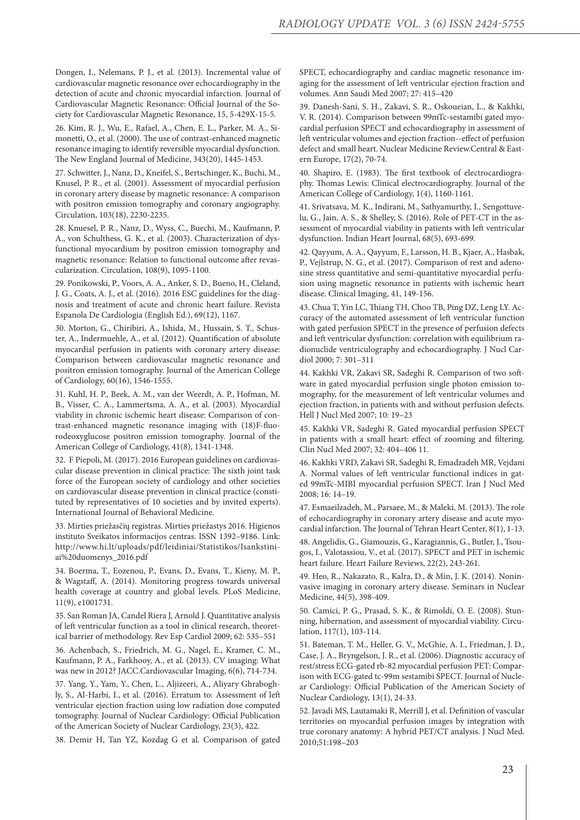Dongen, I., Nelemans, P. J., et al. (2013). Incremental value of cardiovascular magnetic resonance over echocardiography in the detection of acute and chronic myocardial infarction. Journal of Cardiovascular Magnetic Resonance: Official Journal of the Society for Cardiovascular Magnetic Resonance, 15, 5-429X-15-5.

26. Kim, R. J., Wu, E., Rafael, A., Chen, E. L., Parker, M. A., Simonetti, O., et al. (2000). The use of contrast-enhanced magnetic resonance imaging to identify reversible myocardial dysfunction. The New England Journal of Medicine, 343(20), 1445-1453.

27. Schwitter, J., Nanz, D., Kneifel, S., Bertschinger, K., Buchi, M., Knusel, P. R., et al. (2001). Assessment of myocardial perfusion in coronary artery disease by magnetic resonance: A comparison with positron emission tomography and coronary angiography. Circulation, 103(18), 2230-2235.

28. Knuesel, P. R., Nanz, D., Wyss, C., Buechi, M., Kaufmann, P. A., von Schulthess, G. K., et al. (2003). Characterization of dysfunctional myocardium by positron emission tomography and magnetic resonance: Relation to functional outcome after revascularization. Circulation, 108(9), 1095-1100.

29. Ponikowski, P., Voors, A. A., Anker, S. D., Bueno, H., Cleland, J. G., Coats, A. J., et al. (2016). 2016 ESC guidelines for the diagnosis and treatment of acute and chronic heart failure. Revista Espanola De Cardiologia (English Ed.), 69(12), 1167.

30. Morton, G., Chiribiri, A., Ishida, M., Hussain, S. T., Schuster, A., Indermuehle, A., et al. (2012). Quantification of absolute myocardial perfusion in patients with coronary artery disease: Comparison between cardiovascular magnetic resonance and positron emission tomography. Journal of the American College of Cardiology, 60(16), 1546-1555.

31. Kuhl, H. P., Beek, A. M., van der Weerdt, A. P., Hofman, M. B., Visser, C. A., Lammertsma, A. A., et al. (2003). Myocardial viability in chronic ischemic heart disease: Comparison of contrast-enhanced magnetic resonance imaging with (18)F-fluorodeoxyglucose positron emission tomography. Journal of the American College of Cardiology, 41(8), 1341-1348.

32. F Piepoli, M. (2017). 2016 European guidelines on cardiovascular disease prevention in clinical practice: The sixth joint task force of the European society of cardiology and other societies on cardiovascular disease prevention in clinical practice (constituted by representatives of 10 societies and by invited experts). International Journal of Behavioral Medicine.

33. Mirties priežasčių registras. Mirties priežastys 2016. Higienos instituto Sveikatos informacijos centras. ISSN 1392–9186. Link: http://www.hi.lt/uploads/pdf/leidiniai/Statistikos/Isankstiniai%20duomenys\_2016.pdf

34. Boerma, T., Eozenou, P., Evans, D., Evans, T., Kieny, M. P., & Wagstaff, A. (2014). Monitoring progress towards universal health coverage at country and global levels. PLoS Medicine, 11(9), e1001731.

35. San Roman JA, Candel Riera J, Arnold J. Quantitative analysis of left ventricular function as a tool in clinical research, theoretical barrier of methodology. Rev Esp Cardiol 2009; 62: 535–551

36. Achenbach, S., Friedrich, M. G., Nagel, E., Kramer, C. M., Kaufmann, P. A., Farkhooy, A., et al. (2013). CV imaging: What was new in 2012? JACC.Cardiovascular Imaging, 6(6), 714-734.

37. Yang, Y., Yam, Y., Chen, L., Aljizeeri, A., Aliyary Ghraboghly, S., Al-Harbi, I., et al. (2016). Erratum to: Assessment of left ventricular ejection fraction using low radiation dose computed tomography. Journal of Nuclear Cardiology: Official Publication of the American Society of Nuclear Cardiology, 23(3), 422.

38. Demir H, Tan YZ, Kozdag G et al. Comparison of gated

SPECT, echocardiography and cardiac magnetic resonance imaging for the assessment of left ventricular ejection fraction and volumes. Ann Saudi Med 2007; 27: 415–420

39. Danesh-Sani, S. H., Zakavi, S. R., Oskoueian, L., & Kakhki, V. R. (2014). Comparison between 99mTc-sestamibi gated myocardial perfusion SPECT and echocardiography in assessment of left ventricular volumes and ejection fraction--effect of perfusion defect and small heart. Nuclear Medicine Review.Central & Eastern Europe, 17(2), 70-74.

40. Shapiro, E. (1983). The first textbook of electrocardiography. Thomas Lewis: Clinical electrocardiography. Journal of the American College of Cardiology, 1(4), 1160-1161.

41. Srivatsava, M. K., Indirani, M., Sathyamurthy, I., Sengottuvelu, G., Jain, A. S., & Shelley, S. (2016). Role of PET-CT in the assessment of myocardial viability in patients with left ventricular dysfunction. Indian Heart Journal, 68(5), 693-699.

42. Qayyum, A. A., Qayyum, F., Larsson, H. B., Kjaer, A., Hasbak, P., Vejlstrup, N. G., et al. (2017). Comparison of rest and adenosine stress quantitative and semi-quantitative myocardial perfusion using magnetic resonance in patients with ischemic heart disease. Clinical Imaging, 41, 149-156.

43. Chua T, Yin LC, Thiang TH, Choo TB, Ping DZ, Leng LY. Accuracy of the automated assessment of left ventricular function with gated perfusion SPECT in the presence of perfusion defects and left ventricular dysfunction: correlation with equilibrium radionuclide ventriculography and echocardiography. J Nucl Cardiol 2000; 7: 301–311

44. Kakhki VR, Zakavi SR, Sadeghi R. Comparison of two software in gated myocardial perfusion single photon emission tomography, for the measurement of left ventricular volumes and ejection fraction, in patients with and without perfusion defects. Hell J Nucl Med 2007; 10: 19–23

45. Kakhki VR, Sadeghi R. Gated myocardial perfusion SPECT in patients with a small heart: effect of zooming and filtering. Clin Nucl Med 2007; 32: 404–406 11.

46. Kakhki VRD, Zakavi SR, Sadeghi R, Emadzadeh MR, Vejdani A. Normal values of left ventricular functional indices in gated 99mTc-MIBI myocardial perfusion SPECT. Iran J Nucl Med 2008; 16: 14–19.

47. Esmaeilzadeh, M., Parsaee, M., & Maleki, M. (2013). The role of echocardiography in coronary artery disease and acute myocardial infarction. The Journal of Tehran Heart Center, 8(1), 1-13.

48. Angelidis, G., Giamouzis, G., Karagiannis, G., Butler, J., Tsougos, I., Valotassiou, V., et al. (2017). SPECT and PET in ischemic heart failure. Heart Failure Reviews, 22(2), 243-261.

49. Heo, R., Nakazato, R., Kalra, D., & Min, J. K. (2014). Noninvasive imaging in coronary artery disease. Seminars in Nuclear Medicine, 44(5), 398-409.

50. Camici, P. G., Prasad, S. K., & Rimoldi, O. E. (2008). Stunning, hibernation, and assessment of myocardial viability. Circulation, 117(1), 103-114.

51. Bateman, T. M., Heller, G. V., McGhie, A. I., Friedman, J. D., Case, J. A., Bryngelson, J. R., et al. (2006). Diagnostic accuracy of rest/stress ECG-gated rb-82 myocardial perfusion PET: Comparison with ECG-gated tc-99m sestamibi SPECT. Journal of Nuclear Cardiology: Official Publication of the American Society of Nuclear Cardiology, 13(1), 24-33.

52. Javadi MS, Lautamaki R, Merrill J, et al. Definition of vascular territories on myocardial perfusion images by integration with true coronary anatomy: A hybrid PET/CT analysis. J Nucl Med. 2010;51:198–203